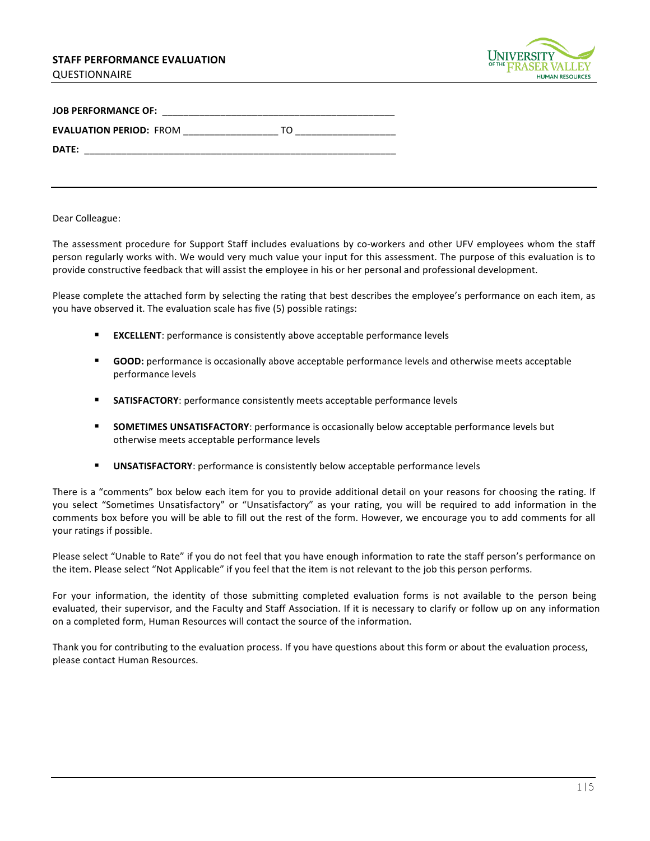### **STAFF PERFORMANCE EVALUATION**

**QUESTIONNAIRE** 



| <b>JOB PERFORMANCE OF:</b>     |  |
|--------------------------------|--|
| <b>EVALUATION PERIOD: FROM</b> |  |
| DATE:                          |  |

Dear Colleague:

The assessment procedure for Support Staff includes evaluations by co-workers and other UFV employees whom the staff person regularly works with. We would very much value your input for this assessment. The purpose of this evaluation is to provide constructive feedback that will assist the employee in his or her personal and professional development.

Please complete the attached form by selecting the rating that best describes the employee's performance on each item, as you have observed it. The evaluation scale has five (5) possible ratings:

- **EXCELLENT:** performance is consistently above acceptable performance levels
- **GOOD:** performance is occasionally above acceptable performance levels and otherwise meets acceptable performance levels
- **SATISFACTORY:** performance consistently meets acceptable performance levels
- **SOMETIMES UNSATISFACTORY:** performance is occasionally below acceptable performance levels but otherwise meets acceptable performance levels
- **"** UNSATISFACTORY: performance is consistently below acceptable performance levels

There is a "comments" box below each item for you to provide additional detail on your reasons for choosing the rating. If+ you select "Sometimes Unsatisfactory" or "Unsatisfactory" as your rating, you will be required to add information in the comments box before you will be able to fill out the rest of the form. However, we encourage you to add comments for all your ratings if possible.

Please select "Unable to Rate" if you do not feel that you have enough information to rate the staff person's performance on the item. Please select "Not Applicable" if you feel that the item is not relevant to the job this person performs.

For your information, the identity of those submitting completed evaluation forms is not available to the person being evaluated, their supervisor, and the Faculty and Staff Association. If it is necessary to clarify or follow up on any information on a completed form, Human Resources will contact the source of the information.

Thank you for contributing to the evaluation process. If you have questions about this form or about the evaluation process, please contact Human Resources.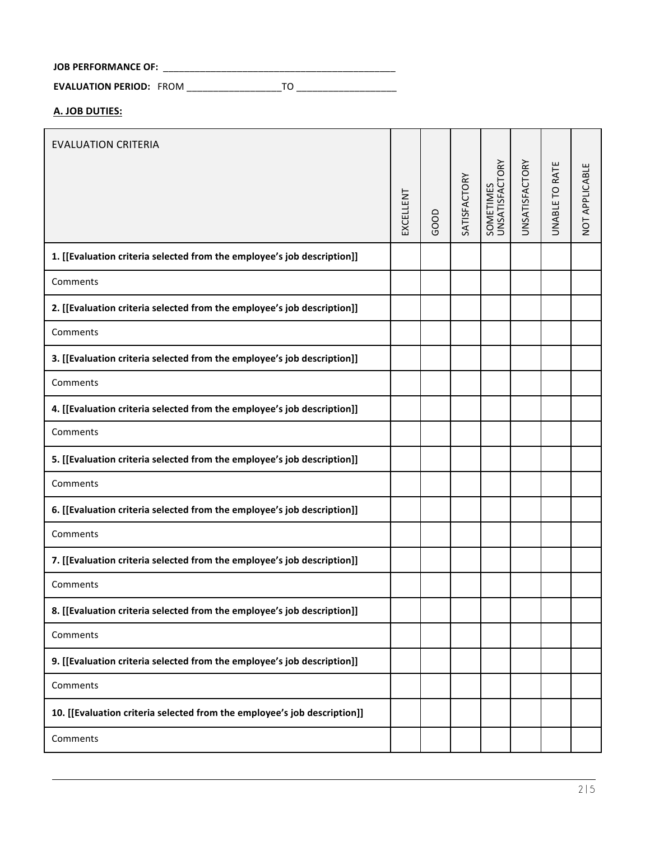**JOB%PERFORMANCE%OF:**++\_\_\_\_\_\_\_\_\_\_\_\_\_\_\_\_\_\_\_\_\_\_\_\_\_\_\_\_\_\_\_\_\_\_\_\_\_\_\_\_\_\_\_\_

**EVALUATION%PERIOD:**+++FROM+\_\_\_\_\_\_\_\_\_\_\_\_\_\_\_\_\_\_TO+\_\_\_\_\_\_\_\_\_\_\_\_\_\_\_\_\_\_\_

**A. JOB%DUTIES:**

| <b>EVALUATION CRITERIA</b>                                               |           |      |              |                             |                |                |                |
|--------------------------------------------------------------------------|-----------|------|--------------|-----------------------------|----------------|----------------|----------------|
|                                                                          |           |      | SATISFACTORY | SOMETIMES<br>UNSATISFACTORY | UNSATISFACTORY | UNABLE TO RATE | NOT APPLICABLE |
|                                                                          | EXCELLENT | GOOD |              |                             |                |                |                |
| 1. [[Evaluation criteria selected from the employee's job description]]  |           |      |              |                             |                |                |                |
| Comments                                                                 |           |      |              |                             |                |                |                |
| 2. [[Evaluation criteria selected from the employee's job description]]  |           |      |              |                             |                |                |                |
| Comments                                                                 |           |      |              |                             |                |                |                |
| 3. [[Evaluation criteria selected from the employee's job description]]  |           |      |              |                             |                |                |                |
| Comments                                                                 |           |      |              |                             |                |                |                |
| 4. [[Evaluation criteria selected from the employee's job description]]  |           |      |              |                             |                |                |                |
| Comments                                                                 |           |      |              |                             |                |                |                |
| 5. [[Evaluation criteria selected from the employee's job description]]  |           |      |              |                             |                |                |                |
| Comments                                                                 |           |      |              |                             |                |                |                |
| 6. [[Evaluation criteria selected from the employee's job description]]  |           |      |              |                             |                |                |                |
| Comments                                                                 |           |      |              |                             |                |                |                |
| 7. [[Evaluation criteria selected from the employee's job description]]  |           |      |              |                             |                |                |                |
| Comments                                                                 |           |      |              |                             |                |                |                |
| 8. [[Evaluation criteria selected from the employee's job description]]  |           |      |              |                             |                |                |                |
| Comments                                                                 |           |      |              |                             |                |                |                |
| 9. [[Evaluation criteria selected from the employee's job description]]  |           |      |              |                             |                |                |                |
| Comments                                                                 |           |      |              |                             |                |                |                |
| 10. [[Evaluation criteria selected from the employee's job description]] |           |      |              |                             |                |                |                |
| Comments                                                                 |           |      |              |                             |                |                |                |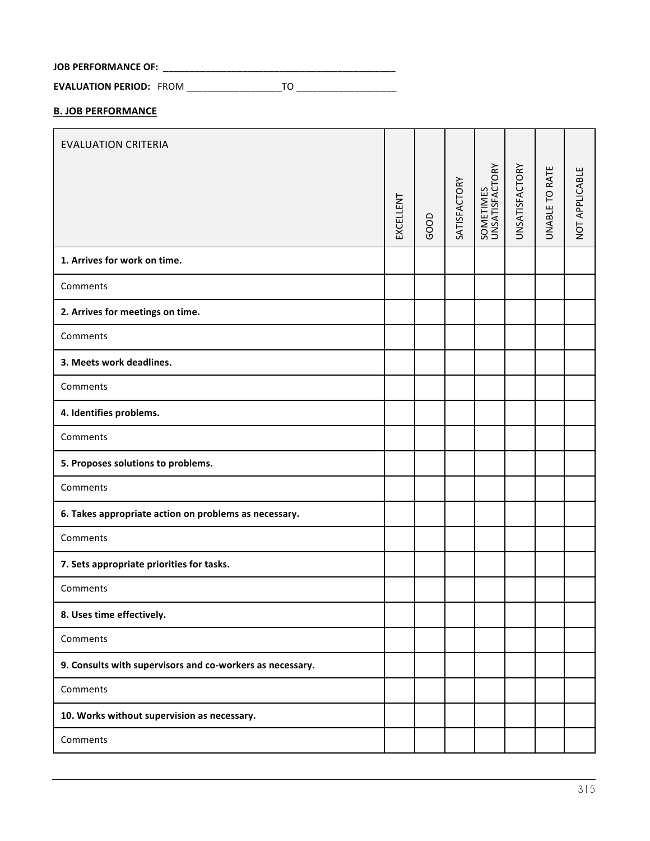### **JOB%PERFORMANCE%OF:**++\_\_\_\_\_\_\_\_\_\_\_\_\_\_\_\_\_\_\_\_\_\_\_\_\_\_\_\_\_\_\_\_\_\_\_\_\_\_\_\_\_\_\_\_

**EVALUATION%PERIOD:**+++FROM+\_\_\_\_\_\_\_\_\_\_\_\_\_\_\_\_\_\_TO+\_\_\_\_\_\_\_\_\_\_\_\_\_\_\_\_\_\_\_

### **B. JOB PERFORMANCE**

| <b>EVALUATION CRITERIA</b>                                |           |      |              |                             |                |                |                |
|-----------------------------------------------------------|-----------|------|--------------|-----------------------------|----------------|----------------|----------------|
|                                                           | EXCELLENT |      | SATISFACTORY | SOMETIMES<br>UNSATISFACTORY | UNSATISFACTORY | UNABLE TO RATE | NOT APPLICABLE |
|                                                           |           | GOOD |              |                             |                |                |                |
| 1. Arrives for work on time.                              |           |      |              |                             |                |                |                |
| Comments                                                  |           |      |              |                             |                |                |                |
| 2. Arrives for meetings on time.                          |           |      |              |                             |                |                |                |
| Comments                                                  |           |      |              |                             |                |                |                |
| 3. Meets work deadlines.                                  |           |      |              |                             |                |                |                |
| Comments                                                  |           |      |              |                             |                |                |                |
| 4. Identifies problems.                                   |           |      |              |                             |                |                |                |
| Comments                                                  |           |      |              |                             |                |                |                |
| 5. Proposes solutions to problems.                        |           |      |              |                             |                |                |                |
| Comments                                                  |           |      |              |                             |                |                |                |
| 6. Takes appropriate action on problems as necessary.     |           |      |              |                             |                |                |                |
| Comments                                                  |           |      |              |                             |                |                |                |
| 7. Sets appropriate priorities for tasks.                 |           |      |              |                             |                |                |                |
| Comments                                                  |           |      |              |                             |                |                |                |
| 8. Uses time effectively.                                 |           |      |              |                             |                |                |                |
| Comments                                                  |           |      |              |                             |                |                |                |
| 9. Consults with supervisors and co-workers as necessary. |           |      |              |                             |                |                |                |
| Comments                                                  |           |      |              |                             |                |                |                |
| 10. Works without supervision as necessary.               |           |      |              |                             |                |                |                |
| Comments                                                  |           |      |              |                             |                |                |                |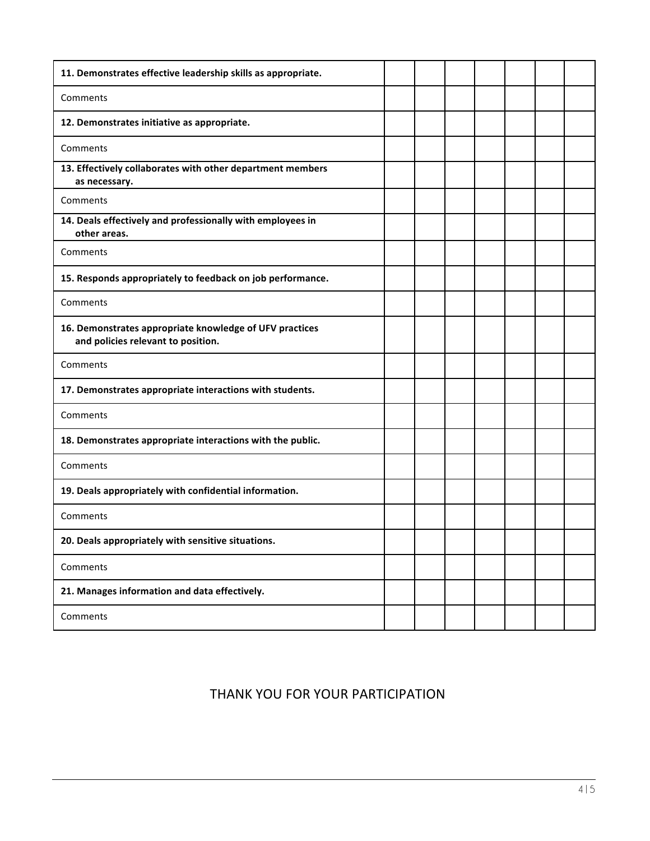| 11. Demonstrates effective leadership skills as appropriate.                                  |  |  |  |  |
|-----------------------------------------------------------------------------------------------|--|--|--|--|
| Comments                                                                                      |  |  |  |  |
| 12. Demonstrates initiative as appropriate.                                                   |  |  |  |  |
| Comments                                                                                      |  |  |  |  |
| 13. Effectively collaborates with other department members<br>as necessary.                   |  |  |  |  |
| Comments                                                                                      |  |  |  |  |
| 14. Deals effectively and professionally with employees in<br>other areas.                    |  |  |  |  |
| Comments                                                                                      |  |  |  |  |
| 15. Responds appropriately to feedback on job performance.                                    |  |  |  |  |
| Comments                                                                                      |  |  |  |  |
| 16. Demonstrates appropriate knowledge of UFV practices<br>and policies relevant to position. |  |  |  |  |
| Comments                                                                                      |  |  |  |  |
| 17. Demonstrates appropriate interactions with students.                                      |  |  |  |  |
| Comments                                                                                      |  |  |  |  |
| 18. Demonstrates appropriate interactions with the public.                                    |  |  |  |  |
| Comments                                                                                      |  |  |  |  |
| 19. Deals appropriately with confidential information.                                        |  |  |  |  |
| Comments                                                                                      |  |  |  |  |
| 20. Deals appropriately with sensitive situations.                                            |  |  |  |  |
| Comments                                                                                      |  |  |  |  |
| 21. Manages information and data effectively.                                                 |  |  |  |  |
| Comments                                                                                      |  |  |  |  |

## THANK YOU FOR YOUR PARTICIPATION